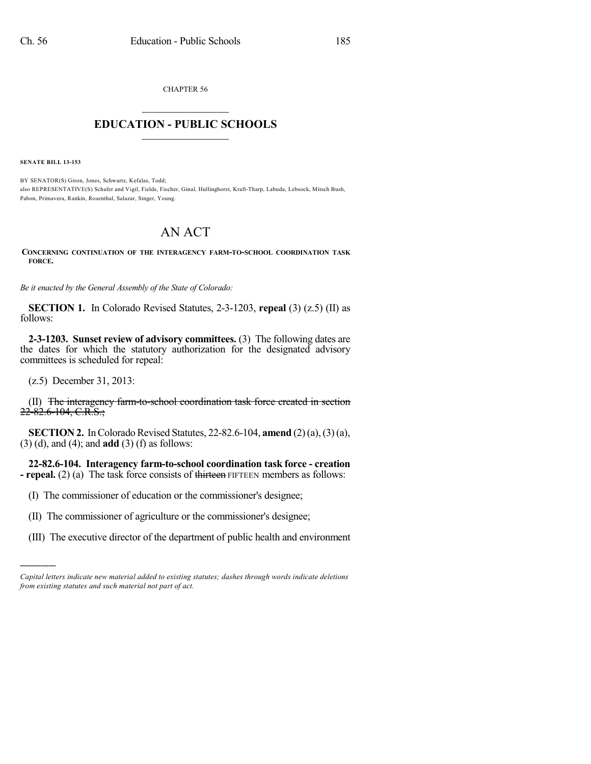CHAPTER 56

## $\mathcal{L}_\text{max}$  . The set of the set of the set of the set of the set of the set of the set of the set of the set of the set of the set of the set of the set of the set of the set of the set of the set of the set of the set **EDUCATION - PUBLIC SCHOOLS**  $\_$   $\_$   $\_$   $\_$   $\_$   $\_$   $\_$   $\_$   $\_$

**SENATE BILL 13-153**

BY SENATOR(S) Giron, Jones, Schwartz, Kefalas, Todd; also REPRESENTATIVE(S) Schafer and Vigil, Fields, Fischer, Ginal, Hullinghorst, Kraft-Tharp, Labuda, Lebsock, Mitsch Bush, Pabon, Primavera, Rankin, Rosenthal, Salazar, Singer, Young.

## AN ACT

**CONCERNING CONTINUATION OF THE INTERAGENCY FARM-TO-SCHOOL COORDINATION TASK FORCE.**

*Be it enacted by the General Assembly of the State of Colorado:*

**SECTION 1.** In Colorado Revised Statutes, 2-3-1203, **repeal** (3) (z.5) (II) as follows:

**2-3-1203. Sunset review of advisory committees.** (3) The following dates are the dates for which the statutory authorization for the designated advisory committees is scheduled for repeal:

(z.5) December 31, 2013:

)))))

(II) The interagency farm-to-school coordination task force created in section  $22 - 82.6 - 104$ , C.R.S.;

**SECTION 2.** In Colorado Revised Statutes, 22-82.6-104, **amend** (2)(a), (3)(a), (3) (d), and (4); and **add** (3) (f) as follows:

**22-82.6-104. Interagency farm-to-school coordination task force - creation - repeal.** (2) (a) The task force consists of thirteen FIFTEEN members as follows:

- (I) The commissioner of education or the commissioner's designee;
- (II) The commissioner of agriculture or the commissioner's designee;
- (III) The executive director of the department of public health and environment

*Capital letters indicate new material added to existing statutes; dashes through words indicate deletions from existing statutes and such material not part of act.*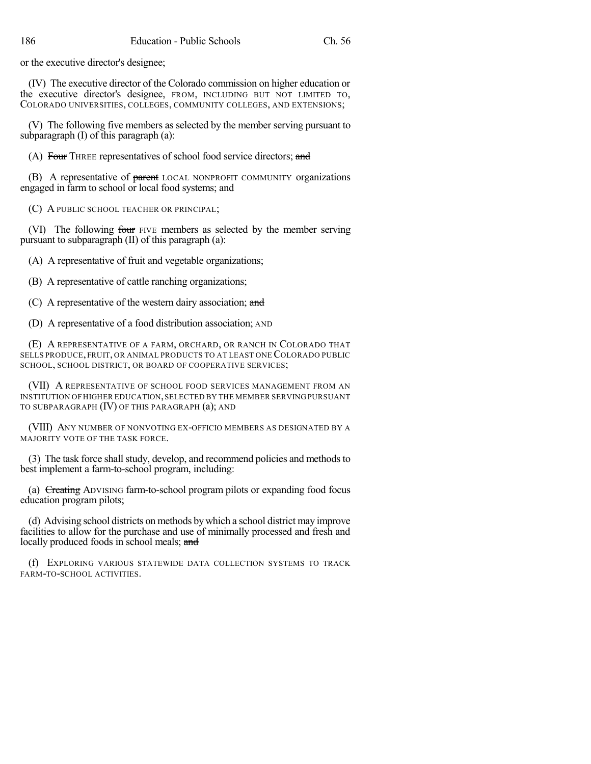or the executive director's designee;

(IV) The executive director of the Colorado commission on higher education or the executive director's designee, FROM, INCLUDING BUT NOT LIMITED TO, COLORADO UNIVERSITIES, COLLEGES, COMMUNITY COLLEGES, AND EXTENSIONS;

(V) The following five members as selected by the member serving pursuant to subparagraph (I) of this paragraph (a):

(A) Four THREE representatives of school food service directors; and

(B) A representative of parent LOCAL NONPROFIT COMMUNITY organizations engaged in farm to school or local food systems; and

(C) A PUBLIC SCHOOL TEACHER OR PRINCIPAL;

(VI) The following four FIVE members as selected by the member serving pursuant to subparagraph (II) of this paragraph (a):

(A) A representative of fruit and vegetable organizations;

(B) A representative of cattle ranching organizations;

(C) A representative of the western dairy association; and

(D) A representative of a food distribution association; AND

(E) A REPRESENTATIVE OF A FARM, ORCHARD, OR RANCH IN COLORADO THAT SELLS PRODUCE, FRUIT, OR ANIMAL PRODUCTS TO AT LEAST ONE COLORADO PUBLIC SCHOOL, SCHOOL DISTRICT, OR BOARD OF COOPERATIVE SERVICES;

(VII) A REPRESENTATIVE OF SCHOOL FOOD SERVICES MANAGEMENT FROM AN INSTITUTION OF HIGHER EDUCATION,SELECTED BY THE MEMBER SERVING PURSUANT TO SUBPARAGRAPH (IV) OF THIS PARAGRAPH (a); AND

(VIII) ANY NUMBER OF NONVOTING EX-OFFICIO MEMBERS AS DESIGNATED BY A MAJORITY VOTE OF THE TASK FORCE.

(3) The task force shall study, develop, and recommend policies and methods to best implement a farm-to-school program, including:

(a) Creating ADVISING farm-to-school program pilots or expanding food focus education program pilots;

(d) Advising school districts on methods bywhich a school district may improve facilities to allow for the purchase and use of minimally processed and fresh and locally produced foods in school meals; and

(f) EXPLORING VARIOUS STATEWIDE DATA COLLECTION SYSTEMS TO TRACK FARM-TO-SCHOOL ACTIVITIES.